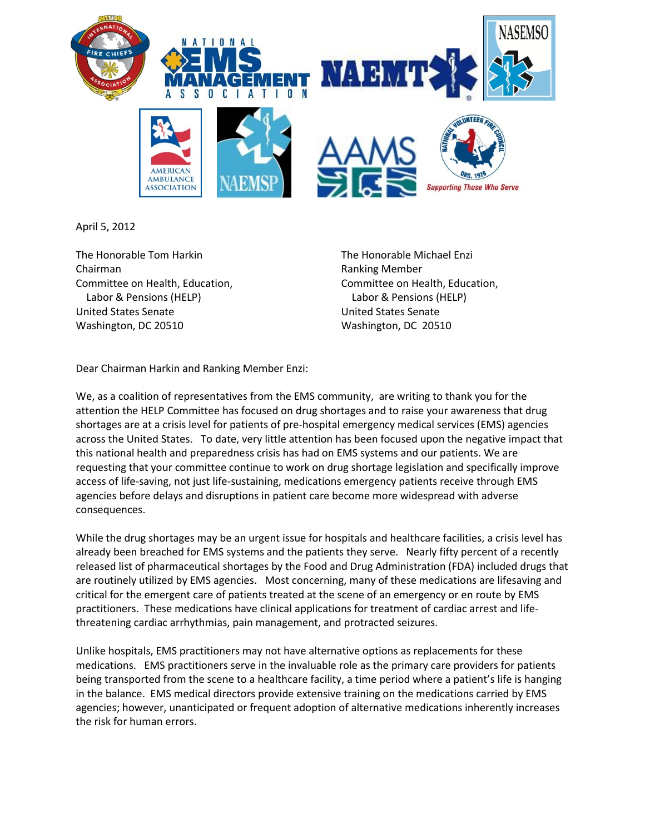

April 5, 2012

The Honorable Tom Harkin The Honorable Michael Enzi Chairman Ranking Member Labor & Pensions (HELP) Labor & Pensions (HELP) United States Senate United States Senate Washington, DC 20510 Washington, DC 20510

Committee on Health, Education, Committee on Health, Education,

Dear Chairman Harkin and Ranking Member Enzi:

We, as a coalition of representatives from the EMS community, are writing to thank you for the attention the HELP Committee has focused on drug shortages and to raise your awareness that drug shortages are at a crisis level for patients of pre-hospital emergency medical services (EMS) agencies across the United States. To date, very little attention has been focused upon the negative impact that this national health and preparedness crisis has had on EMS systems and our patients. We are requesting that your committee continue to work on drug shortage legislation and specifically improve access of life-saving, not just life-sustaining, medications emergency patients receive through EMS agencies before delays and disruptions in patient care become more widespread with adverse consequences.

While the drug shortages may be an urgent issue for hospitals and healthcare facilities, a crisis level has already been breached for EMS systems and the patients they serve. Nearly fifty percent of a recently released list of pharmaceutical shortages by the Food and Drug Administration (FDA) included drugs that are routinely utilized by EMS agencies. Most concerning, many of these medications are lifesaving and critical for the emergent care of patients treated at the scene of an emergency or en route by EMS practitioners. These medications have clinical applications for treatment of cardiac arrest and lifethreatening cardiac arrhythmias, pain management, and protracted seizures.

Unlike hospitals, EMS practitioners may not have alternative options as replacements for these medications. EMS practitioners serve in the invaluable role as the primary care providers for patients being transported from the scene to a healthcare facility, a time period where a patient's life is hanging in the balance. EMS medical directors provide extensive training on the medications carried by EMS agencies; however, unanticipated or frequent adoption of alternative medications inherently increases the risk for human errors.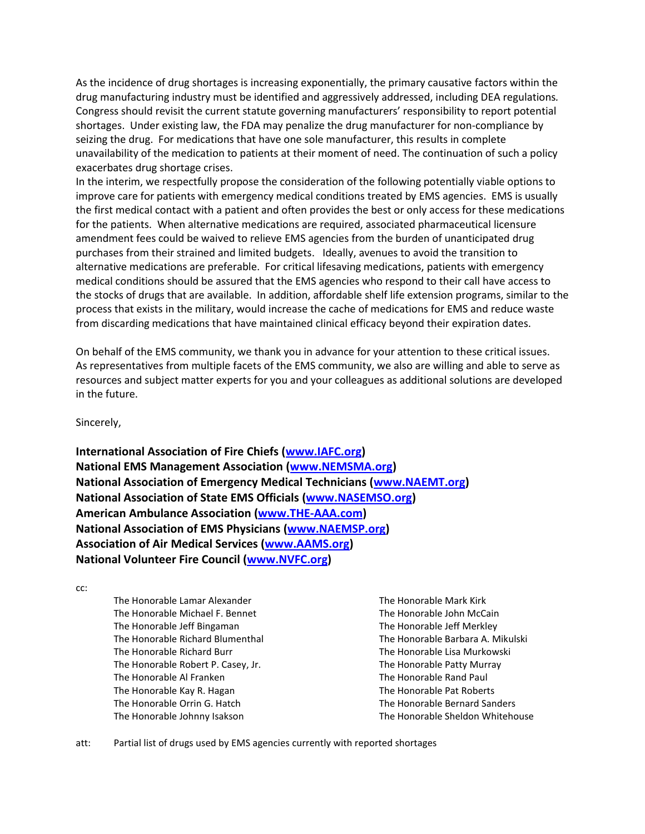As the incidence of drug shortages is increasing exponentially, the primary causative factors within the drug manufacturing industry must be identified and aggressively addressed, including DEA regulations*.*  Congress should revisit the current statute governing manufacturers' responsibility to report potential shortages. Under existing law, the FDA may penalize the drug manufacturer for non-compliance by seizing the drug. For medications that have one sole manufacturer, this results in complete unavailability of the medication to patients at their moment of need. The continuation of such a policy exacerbates drug shortage crises.

In the interim, we respectfully propose the consideration of the following potentially viable options to improve care for patients with emergency medical conditions treated by EMS agencies. EMS is usually the first medical contact with a patient and often provides the best or only access for these medications for the patients. When alternative medications are required, associated pharmaceutical licensure amendment fees could be waived to relieve EMS agencies from the burden of unanticipated drug purchases from their strained and limited budgets. Ideally, avenues to avoid the transition to alternative medications are preferable. For critical lifesaving medications, patients with emergency medical conditions should be assured that the EMS agencies who respond to their call have access to the stocks of drugs that are available. In addition, affordable shelf life extension programs, similar to the process that exists in the military, would increase the cache of medications for EMS and reduce waste from discarding medications that have maintained clinical efficacy beyond their expiration dates.

On behalf of the EMS community, we thank you in advance for your attention to these critical issues. As representatives from multiple facets of the EMS community, we also are willing and able to serve as resources and subject matter experts for you and your colleagues as additional solutions are developed in the future.

Sincerely,

**International Association of Fire Chiefs [\(www.IAFC.org\)](http://www.iafc.org/) National EMS Management Association [\(www.NEMSMA.org\)](http://www.nemsma.org/) National Association of Emergency Medical Technicians [\(www.NAEMT.org\)](http://www.naemt.org/) National Association of State EMS Officials [\(www.NASEMSO.org\)](http://www.nasemso.org/) American Ambulance Association [\(www.THE-AAA.com\)](http://www.the-aaa.com/) National Association of EMS Physicians [\(www.NAEMSP.org\)](http://www.naemsp.org/) Association of Air Medical Services [\(www.AAMS.org\)](http://www.aams.org/) National Volunteer Fire Council [\(www.NVFC.org\)](http://www.nvfc.org/)**

cc:

The Honorable Lamar Alexander The Honorable Michael F. Bennet The Honorable Jeff Bingaman The Honorable Richard Blumenthal The Honorable Richard Burr The Honorable Robert P. Casey, Jr. The Honorable Al Franken The Honorable Kay R. Hagan The Honorable Orrin G. Hatch The Honorable Johnny Isakson

The Honorable Mark Kirk The Honorable John McCain The Honorable Jeff Merkley The Honorable Barbara A. Mikulski The Honorable Lisa Murkowski The Honorable Patty Murray The Honorable Rand Paul The Honorable Pat Roberts The Honorable Bernard Sanders The Honorable Sheldon Whitehouse

att: Partial list of drugs used by EMS agencies currently with reported shortages